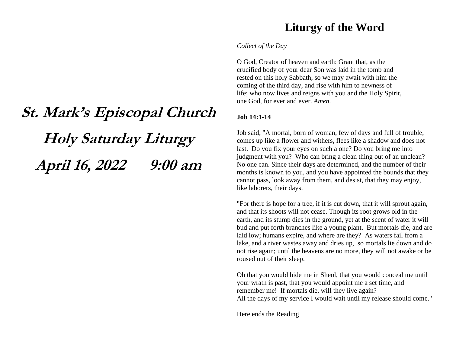# **St. Mark's Episcopal Church Holy Saturday Liturgy April 16, 2022 9:00 am**

## **Liturgy of the Word**

#### *Collect of the Day*

O God, Creator of heaven and earth: Grant that, as the crucified body of your dear Son was laid in the tomb and rested on this holy Sabbath, so we may await with him the coming of the third day, and rise with him to newness of life; who now lives and reigns with you and the Holy Spirit, one God, for ever and ever. *Amen.*

### **Job 14:1-14**

Job said, "A mortal, born of woman, few of days and full of trouble, comes up like a flower and withers, flees like a shadow and does not last. Do you fix your eyes on such a one? Do you bring me into judgment with you? Who can bring a clean thing out of an unclean? No one can. Since their days are determined, and the number of their months is known to you, and you have appointed the bounds that they cannot pass, look away from them, and desist, that they may enjoy, like laborers, their days.

"For there is hope for a tree, if it is cut down, that it will sprout again, and that its shoots will not cease. Though its root grows old in the earth, and its stump dies in the ground, yet at the scent of water it will bud and put forth branches like a young plant. But mortals die, and are laid low; humans expire, and where are they? As waters fail from a lake, and a river wastes away and dries up, so mortals lie down and do not rise again; until the heavens are no more, they will not awake or be roused out of their sleep.

Oh that you would hide me in Sheol, that you would conceal me until your wrath is past, that you would appoint me a set time, and remember me! If mortals die, will they live again? All the days of my service I would wait until my release should come."

Here ends the Reading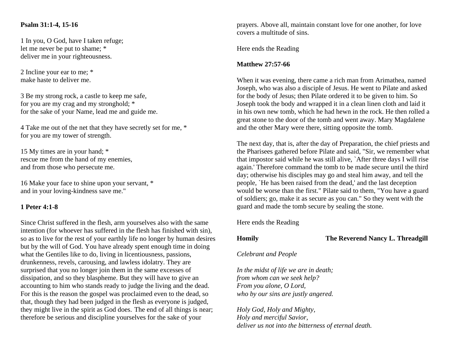#### **Psalm 31:1-4, 15-16**

1 In you, O God, have I taken refuge; let me never be put to shame; \* deliver me in your righteousness.

2 Incline your ear to me; \* make haste to deliver me.

3 Be my strong rock, a castle to keep me safe, for you are my crag and my stronghold; \* for the sake of your Name, lead me and guide me.

4 Take me out of the net that they have secretly set for me, \* for you are my tower of strength.

15 My times are in your hand; \* rescue me from the hand of my enemies, and from those who persecute me.

16 Make your face to shine upon your servant, \* and in your loving-kindness save me."

#### **1 Peter 4:1-8**

Since Christ suffered in the flesh, arm yourselves also with the same intention (for whoever has suffered in the flesh has finished with sin), so as to live for the rest of your earthly life no longer by human desires but by the will of God. You have already spent enough time in doing what the Gentiles like to do, living in licentiousness, passions, drunkenness, revels, carousing, and lawless idolatry. They are surprised that you no longer join them in the same excesses of dissipation, and so they blaspheme. But they will have to give an accounting to him who stands ready to judge the living and the dead. For this is the reason the gospel was proclaimed even to the dead, so that, though they had been judged in the flesh as everyone is judged, they might live in the spirit as God does. The end of all things is near; therefore be serious and discipline yourselves for the sake of your

prayers. Above all, maintain constant love for one another, for love covers a multitude of sins.

Here ends the Reading

#### **Matthew 27:57-66**

When it was evening, there came a rich man from Arimathea, named Joseph, who was also a disciple of Jesus. He went to Pilate and asked for the body of Jesus; then Pilate ordered it to be given to him. So Joseph took the body and wrapped it in a clean linen cloth and laid it in his own new tomb, which he had hewn in the rock. He then rolled a great stone to the door of the tomb and went away. Mary Magdalene and the other Mary were there, sitting opposite the tomb.

The next day, that is, after the day of Preparation, the chief priests and the Pharisees gathered before Pilate and said, "Sir, we remember what that impostor said while he was still alive, `After three days I will rise again.' Therefore command the tomb to be made secure until the third day; otherwise his disciples may go and steal him away, and tell the people, `He has been raised from the dead,' and the last deception would be worse than the first." Pilate said to them, "You have a guard of soldiers; go, make it as secure as you can." So they went with the guard and made the tomb secure by sealing the stone.

Here ends the Reading

**Homily The Reverend Nancy L. Threadgill**

#### *Celebrant and People*

*In the midst of life we are in death; from whom can we seek help? From you alone, O Lord, who by our sins are justly angered.*

*Holy God, Holy and Mighty, Holy and merciful Savior, deliver us not into the bitterness of eternal death.*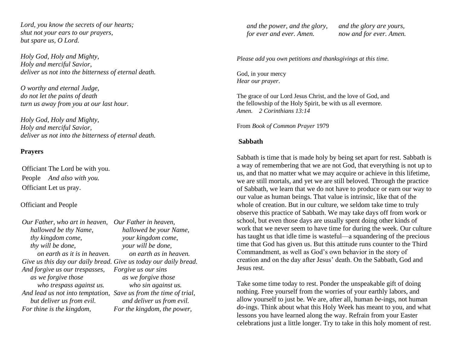*Lord, you know the secrets of our hearts; shut not your ears to our prayers, but spare us, O Lord.*

*Holy God, Holy and Mighty, Holy and merciful Savior, deliver us not into the bitterness of eternal death.*

*O worthy and eternal Judge, do not let the pains of death turn us away from you at our last hour.*

*Holy God, Holy and Mighty, Holy and merciful Savior, deliver us not into the bitterness of eternal death.*

#### **Prayers**

Officiant The Lord be with you. People *And also with you.* Officiant Let us pray.

#### Officiant and People

| Our Father, who art in heaven,                                   | Our Father in heaven,           |
|------------------------------------------------------------------|---------------------------------|
| hallowed be thy Name,                                            | hallowed be your Name,          |
| thy kingdom come,                                                | your kingdom come,              |
| thy will be done,                                                | your will be done,              |
| on earth as it is in heaven.                                     | on earth as in heaven.          |
| Give us this day our daily bread. Give us today our daily bread. |                                 |
| And forgive us our trespasses,                                   | Forgive us our sins             |
| as we forgive those                                              | as we forgive those             |
| who trespass against us.                                         | who sin against us.             |
| And lead us not into temptation,                                 | Save us from the time of trial, |
| but deliver us from evil.                                        | and deliver us from evil.       |
| For thine is the kingdom,                                        | For the kingdom, the power,     |

 *and the power, and the glory, for ever and ever. Amen.*

 *and the glory are yours, now and for ever. Amen.*

*Please add you own petitions and thanksgivings at this time.*

God, in your mercy *Hear our prayer*.

The grace of our Lord Jesus Christ, and the love of God, and the fellowship of the Holy Spirit, be with us all evermore. *Amen. 2 Corinthians 13:14*

From *Book of Common Prayer* 1979

#### **Sabbath**

Sabbath is time that is made holy by being set apart for rest. Sabbath is a way of remembering that we are not God, that everything is not up to us, and that no matter what we may acquire or achieve in this lifetime, we are still mortals, and yet we are still beloved. Through the practice of Sabbath, we learn that we do not have to produce or earn our way to our value as human beings. That value is intrinsic, like that of the whole of creation. But in our culture, we seldom take time to truly observe this practice of Sabbath. We may take days off from work or school, but even those days are usually spent doing other kinds of work that we never seem to have time for during the week. Our culture has taught us that idle time is wasteful—a squandering of the precious time that God has given us. But this attitude runs counter to the Third Commandment, as well as God's own behavior in the story of creation and on the day after Jesus' death. On the Sabbath, God and Jesus rest.

Take some time today to rest. Ponder the unspeakable gift of doing nothing. Free yourself from the worries of your earthly labors, and allow yourself to just be. We are, after all, human *be*-ings, not human *do*-ings. Think about what this Holy Week has meant to you, and what lessons you have learned along the way. Refrain from your Easter celebrations just a little longer. Try to take in this holy moment of rest.